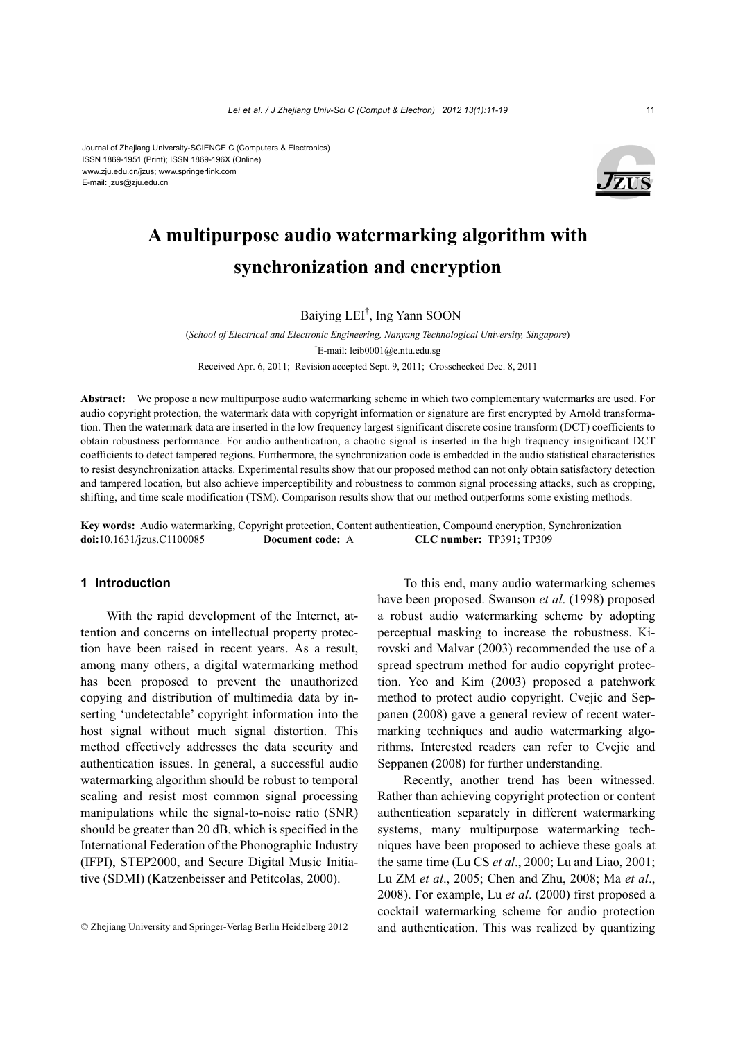

# **A multipurpose audio watermarking algorithm with synchronization and encryption**

Baiying LEI† , Ing Yann SOON

(*School of Electrical and Electronic Engineering, Nanyang Technological University, Singapore*) † E-mail: leib0001@e.ntu.edu.sg Received Apr. 6, 2011; Revision accepted Sept. 9, 2011; Crosschecked Dec. 8, 2011

**Abstract:** We propose a new multipurpose audio watermarking scheme in which two complementary watermarks are used. For audio copyright protection, the watermark data with copyright information or signature are first encrypted by Arnold transformation. Then the watermark data are inserted in the low frequency largest significant discrete cosine transform (DCT) coefficients to obtain robustness performance. For audio authentication, a chaotic signal is inserted in the high frequency insignificant DCT coefficients to detect tampered regions. Furthermore, the synchronization code is embedded in the audio statistical characteristics to resist desynchronization attacks. Experimental results show that our proposed method can not only obtain satisfactory detection and tampered location, but also achieve imperceptibility and robustness to common signal processing attacks, such as cropping, shifting, and time scale modification (TSM). Comparison results show that our method outperforms some existing methods.

**Key words:** Audio watermarking, Copyright protection, Content authentication, Compound encryption, Synchronization **doi:**10.1631/jzus.C1100085 **Document code:** A **CLC number:** TP391; TP309

## **1 Introduction**

With the rapid development of the Internet, attention and concerns on intellectual property protection have been raised in recent years. As a result, among many others, a digital watermarking method has been proposed to prevent the unauthorized copying and distribution of multimedia data by inserting 'undetectable' copyright information into the host signal without much signal distortion. This method effectively addresses the data security and authentication issues. In general, a successful audio watermarking algorithm should be robust to temporal scaling and resist most common signal processing manipulations while the signal-to-noise ratio (SNR) should be greater than 20 dB, which is specified in the International Federation of the Phonographic Industry (IFPI), STEP2000, and Secure Digital Music Initiative (SDMI) (Katzenbeisser and Petitcolas, 2000).

To this end, many audio watermarking schemes have been proposed. Swanson *et al*. (1998) proposed a robust audio watermarking scheme by adopting perceptual masking to increase the robustness. Kirovski and Malvar (2003) recommended the use of a spread spectrum method for audio copyright protection. Yeo and Kim (2003) proposed a patchwork method to protect audio copyright. Cvejic and Seppanen (2008) gave a general review of recent watermarking techniques and audio watermarking algorithms. Interested readers can refer to Cvejic and Seppanen (2008) for further understanding.

Recently, another trend has been witnessed. Rather than achieving copyright protection or content authentication separately in different watermarking systems, many multipurpose watermarking techniques have been proposed to achieve these goals at the same time (Lu CS *et al*., 2000; Lu and Liao, 2001; Lu ZM *et al*., 2005; Chen and Zhu, 2008; Ma *et al*., 2008). For example, Lu *et al*. (2000) first proposed a cocktail watermarking scheme for audio protection and authentication. This was realized by quantizing

<sup>©</sup> Zhejiang University and Springer-Verlag Berlin Heidelberg 2012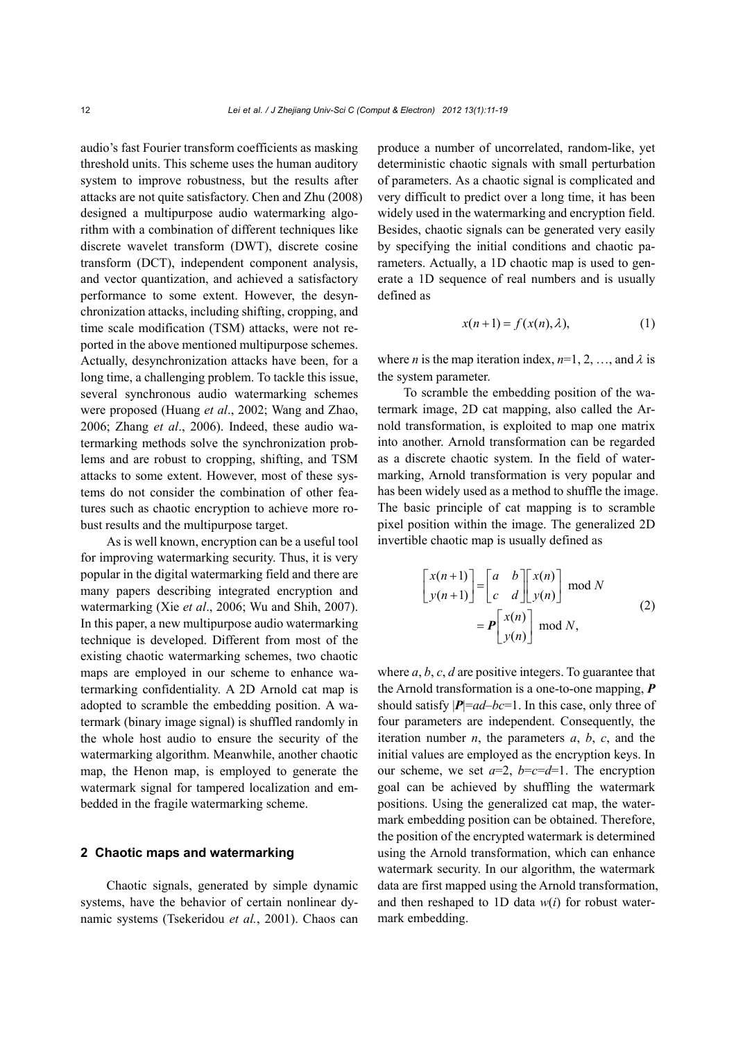audio's fast Fourier transform coefficients as masking threshold units. This scheme uses the human auditory system to improve robustness, but the results after attacks are not quite satisfactory. Chen and Zhu (2008) designed a multipurpose audio watermarking algorithm with a combination of different techniques like discrete wavelet transform (DWT), discrete cosine transform (DCT), independent component analysis, and vector quantization, and achieved a satisfactory performance to some extent. However, the desynchronization attacks, including shifting, cropping, and time scale modification (TSM) attacks, were not reported in the above mentioned multipurpose schemes. Actually, desynchronization attacks have been, for a long time, a challenging problem. To tackle this issue, several synchronous audio watermarking schemes were proposed (Huang *et al*., 2002; Wang and Zhao, 2006; Zhang *et al*., 2006). Indeed, these audio watermarking methods solve the synchronization problems and are robust to cropping, shifting, and TSM attacks to some extent. However, most of these systems do not consider the combination of other features such as chaotic encryption to achieve more robust results and the multipurpose target.

As is well known, encryption can be a useful tool for improving watermarking security. Thus, it is very popular in the digital watermarking field and there are many papers describing integrated encryption and watermarking (Xie *et al*., 2006; Wu and Shih, 2007). In this paper, a new multipurpose audio watermarking technique is developed. Different from most of the existing chaotic watermarking schemes, two chaotic maps are employed in our scheme to enhance watermarking confidentiality. A 2D Arnold cat map is adopted to scramble the embedding position. A watermark (binary image signal) is shuffled randomly in the whole host audio to ensure the security of the watermarking algorithm. Meanwhile, another chaotic map, the Henon map, is employed to generate the watermark signal for tampered localization and embedded in the fragile watermarking scheme.

# **2 Chaotic maps and watermarking**

Chaotic signals, generated by simple dynamic systems, have the behavior of certain nonlinear dynamic systems (Tsekeridou *et al.*, 2001). Chaos can produce a number of uncorrelated, random-like, yet deterministic chaotic signals with small perturbation of parameters. As a chaotic signal is complicated and very difficult to predict over a long time, it has been widely used in the watermarking and encryption field. Besides, chaotic signals can be generated very easily by specifying the initial conditions and chaotic parameters. Actually, a 1D chaotic map is used to generate a 1D sequence of real numbers and is usually defined as

$$
x(n+1) = f(x(n), \lambda), \tag{1}
$$

where *n* is the map iteration index,  $n=1, 2, ...,$  and  $\lambda$  is the system parameter.

To scramble the embedding position of the watermark image, 2D cat mapping, also called the Arnold transformation, is exploited to map one matrix into another. Arnold transformation can be regarded as a discrete chaotic system. In the field of watermarking, Arnold transformation is very popular and has been widely used as a method to shuffle the image. The basic principle of cat mapping is to scramble pixel position within the image. The generalized 2D invertible chaotic map is usually defined as

$$
\begin{bmatrix} x(n+1) \\ y(n+1) \end{bmatrix} = \begin{bmatrix} a & b \\ c & d \end{bmatrix} \begin{bmatrix} x(n) \\ y(n) \end{bmatrix} \text{ mod } N
$$
  
= 
$$
\mathbf{P} \begin{bmatrix} x(n) \\ y(n) \end{bmatrix} \text{ mod } N,
$$
 (2)

where *a*, *b*, *c*, *d* are positive integers. To guarantee that the Arnold transformation is a one-to-one mapping, *P* should satisfy  $|P|=ad-bc=1$ . In this case, only three of four parameters are independent. Consequently, the iteration number *n*, the parameters  $a, b, c$ , and the initial values are employed as the encryption keys. In our scheme, we set  $a=2$ ,  $b=c=d=1$ . The encryption goal can be achieved by shuffling the watermark positions. Using the generalized cat map, the watermark embedding position can be obtained. Therefore, the position of the encrypted watermark is determined using the Arnold transformation, which can enhance watermark security. In our algorithm, the watermark data are first mapped using the Arnold transformation, and then reshaped to 1D data *w*(*i*) for robust watermark embedding.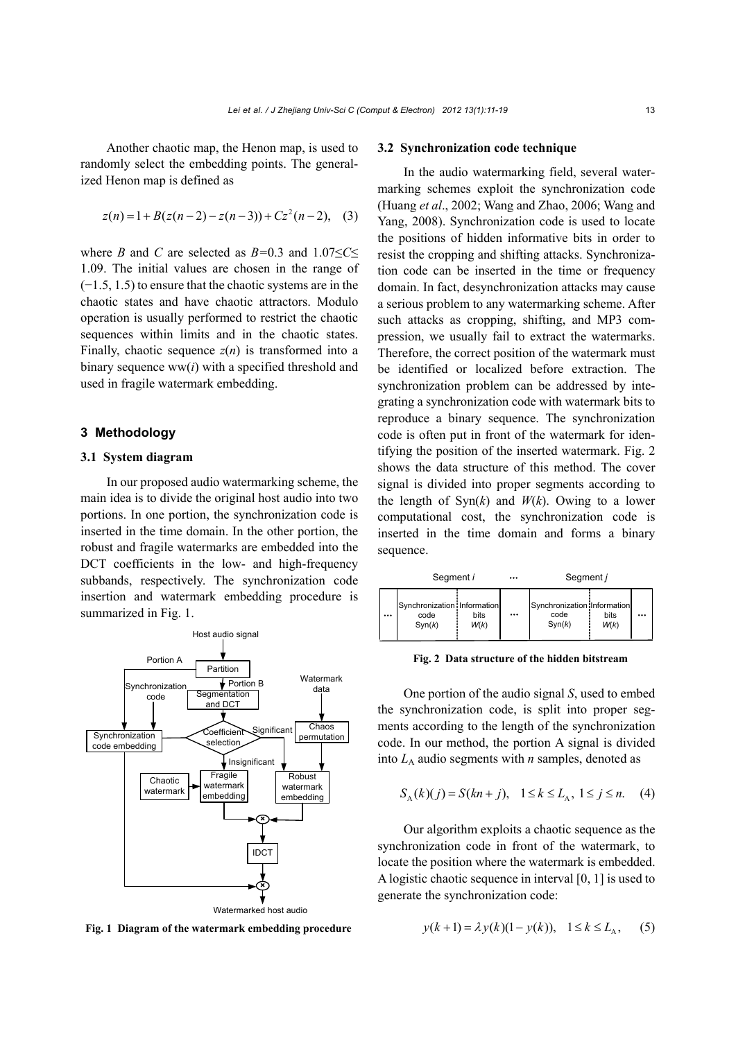Another chaotic map, the Henon map, is used to randomly select the embedding points. The generalized Henon map is defined as

$$
z(n) = 1 + B(z(n-2) - z(n-3)) + Cz2(n-2), (3)
$$

where *B* and *C* are selected as *B=*0.3 and 1.07≤*C*≤ 1.09. The initial values are chosen in the range of (−1.5, 1.5) to ensure that the chaotic systems are in the chaotic states and have chaotic attractors. Modulo operation is usually performed to restrict the chaotic sequences within limits and in the chaotic states. Finally, chaotic sequence  $z(n)$  is transformed into a binary sequence ww(*i*) with a specified threshold and used in fragile watermark embedding.

# **3 Methodology**

# **3.1 System diagram**

In our proposed audio watermarking scheme, the main idea is to divide the original host audio into two portions. In one portion, the synchronization code is inserted in the time domain. In the other portion, the robust and fragile watermarks are embedded into the DCT coefficients in the low- and high-frequency subbands, respectively. The synchronization code insertion and watermark embedding procedure is summarized in Fig. 1.



**Fig. 1 Diagram of the watermark embedding procedure**

#### **3.2 Synchronization code technique**

In the audio watermarking field, several watermarking schemes exploit the synchronization code (Huang *et al*., 2002; Wang and Zhao, 2006; Wang and Yang, 2008). Synchronization code is used to locate the positions of hidden informative bits in order to resist the cropping and shifting attacks. Synchronization code can be inserted in the time or frequency domain. In fact, desynchronization attacks may cause a serious problem to any watermarking scheme. After such attacks as cropping, shifting, and MP3 compression, we usually fail to extract the watermarks. Therefore, the correct position of the watermark must be identified or localized before extraction. The synchronization problem can be addressed by integrating a synchronization code with watermark bits to reproduce a binary sequence. The synchronization code is often put in front of the watermark for identifying the position of the inserted watermark. Fig. 2 shows the data structure of this method. The cover signal is divided into proper segments according to the length of  $Syn(k)$  and  $W(k)$ . Owing to a lower computational cost, the synchronization code is inserted in the time domain and forms a binary sequence.

|          | Segment i                                     |              |          | Segment j                                     |              |  |
|----------|-----------------------------------------------|--------------|----------|-----------------------------------------------|--------------|--|
| $\cdots$ | Synchronization Information<br>code<br>Syn(k) | bits<br>W(k) | $\cdots$ | Synchronization Information<br>code<br>Syn(k) | bits<br>W(k) |  |

**Fig. 2 Data structure of the hidden bitstream**

One portion of the audio signal *S*, used to embed the synchronization code, is split into proper segments according to the length of the synchronization code. In our method, the portion A signal is divided into  $L_A$  audio segments with *n* samples, denoted as

$$
S_{A}(k)(j) = S(kn + j), \quad 1 \le k \le L_{A}, \ 1 \le j \le n. \tag{4}
$$

Our algorithm exploits a chaotic sequence as the synchronization code in front of the watermark, to locate the position where the watermark is embedded. A logistic chaotic sequence in interval [0, 1] is used to generate the synchronization code:

$$
y(k+1) = \lambda y(k)(1 - y(k)), \quad 1 \le k \le L_A,
$$
 (5)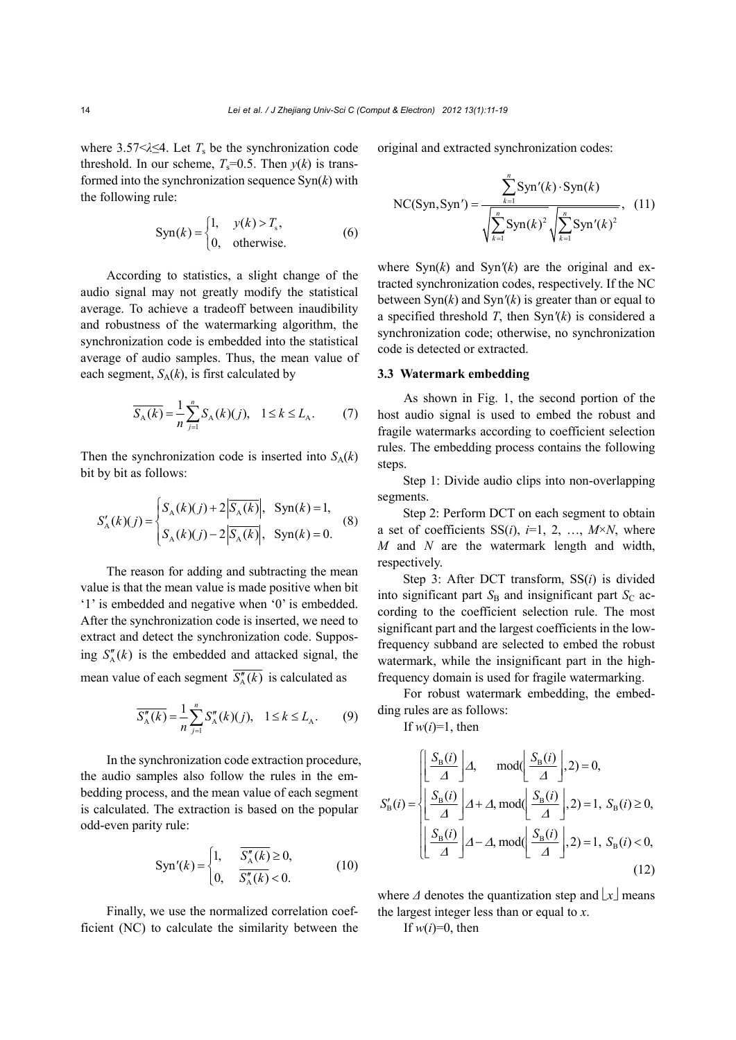where  $3.57 \le \lambda \le 4$ . Let  $T_s$  be the synchronization code threshold. In our scheme,  $T_s=0.5$ . Then  $y(k)$  is transformed into the synchronization sequence Syn(*k*) with the following rule:

$$
Syn(k) = \begin{cases} 1, & y(k) > T_s, \\ 0, & \text{otherwise.} \end{cases}
$$
 (6)

According to statistics, a slight change of the audio signal may not greatly modify the statistical average. To achieve a tradeoff between inaudibility and robustness of the watermarking algorithm, the synchronization code is embedded into the statistical average of audio samples. Thus, the mean value of each segment,  $S_A(k)$ , is first calculated by

$$
\overline{S_{A}(k)} = \frac{1}{n} \sum_{j=1}^{n} S_{A}(k)(j), \quad 1 \le k \le L_{A}.
$$
 (7)

Then the synchronization code is inserted into  $S_A(k)$ bit by bit as follows:

$$
S'_{A}(k)(j) = \begin{cases} S_{A}(k)(j) + 2|\overline{S_{A}(k)}|, & \text{Sym}(k) = 1, \\ S_{A}(k)(j) - 2|\overline{S_{A}(k)}|, & \text{Sym}(k) = 0. \end{cases}
$$
(8)

The reason for adding and subtracting the mean value is that the mean value is made positive when bit '1' is embedded and negative when '0' is embedded. After the synchronization code is inserted, we need to extract and detect the synchronization code. Supposing  $S''_h(k)$  is the embedded and attacked signal, the mean value of each segment  $\overline{S_A''(k)}$  is calculated as

$$
\overline{S_A''(k)} = \frac{1}{n} \sum_{j=1}^n S_A''(k)(j), \quad 1 \le k \le L_A.
$$
 (9)

In the synchronization code extraction procedure, the audio samples also follow the rules in the embedding process, and the mean value of each segment is calculated. The extraction is based on the popular odd-even parity rule:

$$
Syn'(k) = \begin{cases} 1, & \overline{S_A''(k)} \ge 0, \\ 0, & \overline{S_A''(k)} < 0. \end{cases}
$$
 (10)

Finally, we use the normalized correlation coefficient (NC) to calculate the similarity between the original and extracted synchronization codes:

NC(Syn, Syn') = 
$$
\frac{\sum_{k=1}^{n} \text{Syn}'(k) \cdot \text{Syn}(k)}{\sqrt{\sum_{k=1}^{n} \text{Syn}(k)^{2}} \sqrt{\sum_{k=1}^{n} \text{Syn}'(k)^{2}}},
$$
 (11)

where  $\text{Syn}(k)$  and  $\text{Syn}'(k)$  are the original and extracted synchronization codes, respectively. If the NC between Syn(*k*) and Syn*'*(*k*) is greater than or equal to a specified threshold *T*, then Syn*'*(*k*) is considered a synchronization code; otherwise, no synchronization code is detected or extracted.

## **3.3 Watermark embedding**

As shown in Fig. 1, the second portion of the host audio signal is used to embed the robust and fragile watermarks according to coefficient selection rules. The embedding process contains the following steps.

Step 1: Divide audio clips into non-overlapping segments.

Step 2: Perform DCT on each segment to obtain a set of coefficients  $SS(i)$ ,  $i=1, 2, ..., M \times N$ , where *M* and *N* are the watermark length and width, respectively.

Step 3: After DCT transform, SS(*i*) is divided into significant part  $S_B$  and insignificant part  $S_C$  according to the coefficient selection rule. The most significant part and the largest coefficients in the lowfrequency subband are selected to embed the robust watermark, while the insignificant part in the highfrequency domain is used for fragile watermarking.

For robust watermark embedding, the embedding rules are as follows:

If  $w(i)=1$ , then

$$
S'_{\rm B}(i) = \begin{cases} \left[\frac{S_{\rm B}(i)}{\Delta}\right] \Delta, & \text{mod}(\left[\frac{S_{\rm B}(i)}{\Delta}\right], 2) = 0, \\ \left[\frac{S_{\rm B}(i)}{\Delta}\right] \Delta + \Delta, \text{mod}(\left[\frac{S_{\rm B}(i)}{\Delta}\right], 2) = 1, S_{\rm B}(i) \ge 0, \\ \left[\frac{S_{\rm B}(i)}{\Delta}\right] \Delta - \Delta, \text{mod}(\left[\frac{S_{\rm B}(i)}{\Delta}\right], 2) = 1, S_{\rm B}(i) < 0, \end{cases} \tag{12}
$$

where  $\Delta$  denotes the quantization step and  $\lfloor x \rfloor$  means the largest integer less than or equal to *x*.

If  $w(i)=0$ , then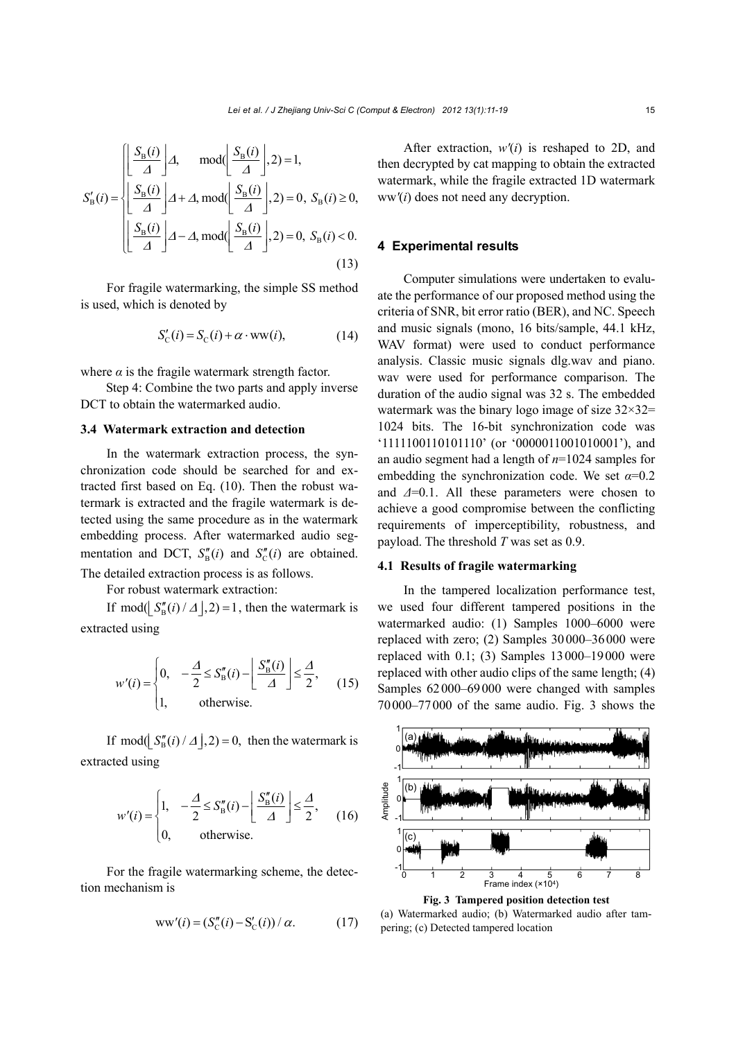$$
S'_{\rm B}(i) = \begin{cases} \left[ \frac{S_{\rm B}(i)}{\Delta} \right] \Delta, & \text{mod}(\left[ \frac{S_{\rm B}(i)}{\Delta} \right], 2) = 1, \\ \left[ \frac{S_{\rm B}(i)}{\Delta} \right] \Delta + \Delta, \text{mod}(\left[ \frac{S_{\rm B}(i)}{\Delta} \right], 2) = 0, S_{\rm B}(i) \ge 0, \\ \left[ \frac{S_{\rm B}(i)}{\Delta} \right] \Delta - \Delta, \text{mod}(\left[ \frac{S_{\rm B}(i)}{\Delta} \right], 2) = 0, S_{\rm B}(i) < 0. \end{cases}
$$
\n(13)

For fragile watermarking, the simple SS method is used, which is denoted by

$$
S'_{\rm C}(i) = S_{\rm C}(i) + \alpha \cdot \text{ww}(i),\tag{14}
$$

where  $\alpha$  is the fragile watermark strength factor.

Step 4: Combine the two parts and apply inverse DCT to obtain the watermarked audio.

# **3.4 Watermark extraction and detection**

In the watermark extraction process, the synchronization code should be searched for and extracted first based on Eq. (10). Then the robust watermark is extracted and the fragile watermark is detected using the same procedure as in the watermark embedding process. After watermarked audio segmentation and DCT,  $S''_p(i)$  and  $S''_c(i)$  are obtained. The detailed extraction process is as follows.

For robust watermark extraction:

If mod( $\int S_R''(i)/\Delta |,2)=1$ , then the watermark is extracted using

$$
w'(i) = \begin{cases} 0, & -\frac{\Delta}{2} \le S_B''(i) - \left\lfloor \frac{S_B''(i)}{\Delta} \right\rfloor \le \frac{\Delta}{2}, \\ 1, & \text{otherwise.} \end{cases}
$$
(15)

If mod( $\int S_n''(i)/\Delta |, 2) = 0$ , then the watermark is extracted using

$$
w'(i) = \begin{cases} 1, & -\frac{\Delta}{2} \le S_B''(i) - \left\lfloor \frac{S_B''(i)}{\Delta} \right\rfloor \le \frac{\Delta}{2}, \\ 0, & \text{otherwise.} \end{cases}
$$
 (16)

For the fragile watermarking scheme, the detection mechanism is

$$
ww'(i) = (S''_C(i) - S'_C(i))/\alpha.
$$
 (17)

After extraction, *w'*(*i*) is reshaped to 2D, and then decrypted by cat mapping to obtain the extracted watermark, while the fragile extracted 1D watermark ww*'*(*i*) does not need any decryption.

## **4 Experimental results**

Computer simulations were undertaken to evaluate the performance of our proposed method using the criteria of SNR, bit error ratio (BER), and NC. Speech and music signals (mono, 16 bits/sample, 44.1 kHz, WAV format) were used to conduct performance analysis. Classic music signals dlg.wav and piano. wav were used for performance comparison. The duration of the audio signal was 32 s. The embedded watermark was the binary logo image of size  $32 \times 32$ = 1024 bits. The 16-bit synchronization code was '1111100110101110' (or '0000011001010001'), and an audio segment had a length of *n*=1024 samples for embedding the synchronization code. We set *α*=0.2 and *Δ*=0.1. All these parameters were chosen to achieve a good compromise between the conflicting requirements of imperceptibility, robustness, and payload. The threshold *T* was set as 0.9.

# **4.1 Results of fragile watermarking**

In the tampered localization performance test, we used four different tampered positions in the watermarked audio: (1) Samples 1000–6000 were replaced with zero; (2) Samples 30000–36000 were replaced with 0.1; (3) Samples 13000–19000 were replaced with other audio clips of the same length; (4) Samples 62000–69000 were changed with samples 70000–77000 of the same audio. Fig. 3 shows the



**Fig. 3 Tampered position detection test** 

(a) Watermarked audio; (b) Watermarked audio after tampering; (c) Detected tampered location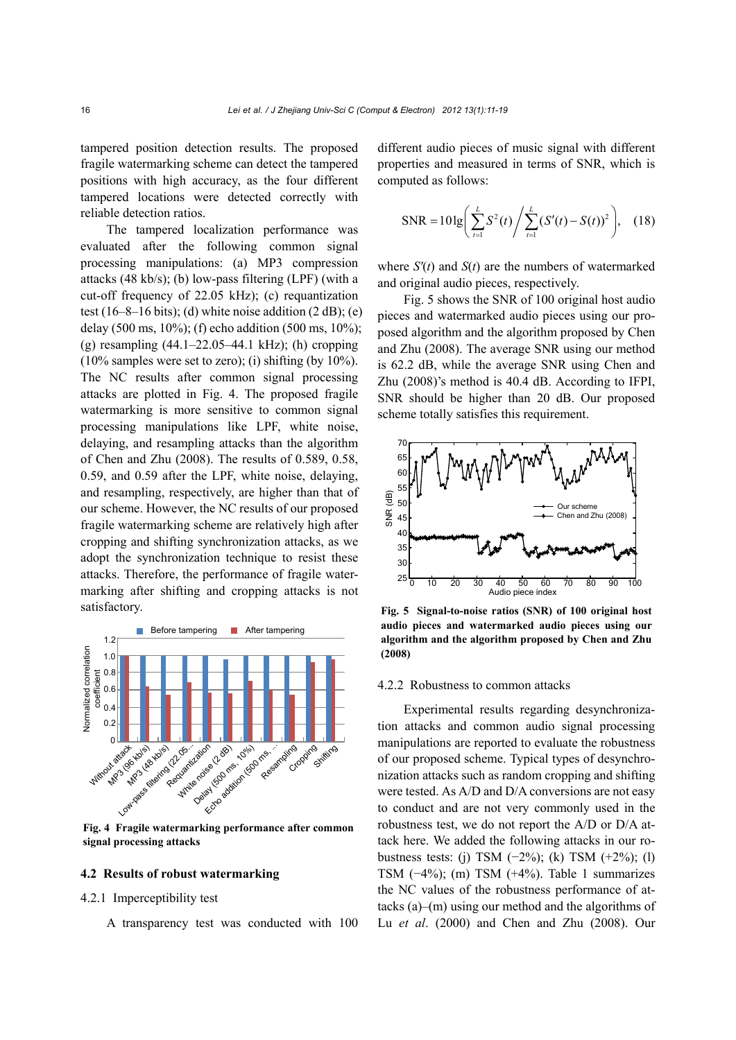tampered position detection results. The proposed fragile watermarking scheme can detect the tampered positions with high accuracy, as the four different tampered locations were detected correctly with reliable detection ratios.

The tampered localization performance was evaluated after the following common signal processing manipulations: (a) MP3 compression attacks (48 kb/s); (b) low-pass filtering (LPF) (with a cut-off frequency of 22.05 kHz); (c) requantization test (16–8–16 bits); (d) white noise addition  $(2 dB)$ ; (e) delay (500 ms, 10%); (f) echo addition (500 ms, 10%); (g) resampling (44.1–22.05–44.1 kHz); (h) cropping  $(10\%$  samples were set to zero); (i) shifting (by  $10\%$ ). The NC results after common signal processing attacks are plotted in Fig. 4. The proposed fragile watermarking is more sensitive to common signal processing manipulations like LPF, white noise, delaying, and resampling attacks than the algorithm of Chen and Zhu (2008). The results of 0.589, 0.58, 0.59, and 0.59 after the LPF, white noise, delaying, and resampling, respectively, are higher than that of our scheme. However, the NC results of our proposed fragile watermarking scheme are relatively high after cropping and shifting synchronization attacks, as we adopt the synchronization technique to resist these attacks. Therefore, the performance of fragile watermarking after shifting and cropping attacks is not satisfactory.



**Fig. 4 Fragile watermarking performance after common signal processing attacks** 

#### **4.2 Results of robust watermarking**

## 4.2.1 Imperceptibility test

A transparency test was conducted with 100

different audio pieces of music signal with different properties and measured in terms of SNR, which is computed as follows:

SNR = 
$$
10 \lg \left( \sum_{t=1}^{L} S^2(t) / \sum_{t=1}^{L} (S'(t) - S(t))^2 \right)
$$
, (18)

where  $S'(t)$  and  $S(t)$  are the numbers of watermarked and original audio pieces, respectively.

Fig. 5 shows the SNR of 100 original host audio pieces and watermarked audio pieces using our proposed algorithm and the algorithm proposed by Chen and Zhu (2008). The average SNR using our method is 62.2 dB, while the average SNR using Chen and Zhu (2008)'s method is 40.4 dB. According to IFPI, SNR should be higher than 20 dB. Our proposed scheme totally satisfies this requirement.



**Fig. 5 Signal-to-noise ratios (SNR) of 100 original host audio pieces and watermarked audio pieces using our algorithm and the algorithm proposed by Chen and Zhu (2008)** 

#### 4.2.2 Robustness to common attacks

Experimental results regarding desynchronization attacks and common audio signal processing manipulations are reported to evaluate the robustness of our proposed scheme. Typical types of desynchronization attacks such as random cropping and shifting were tested. As A/D and D/A conversions are not easy to conduct and are not very commonly used in the robustness test, we do not report the A/D or D/A attack here. We added the following attacks in our robustness tests: (j) TSM  $(-2\%)$ ; (k) TSM  $(+2\%)$ ; (l) TSM (−4%); (m) TSM (+4%). Table 1 summarizes the NC values of the robustness performance of attacks (a)–(m) using our method and the algorithms of Lu *et al*. (2000) and Chen and Zhu (2008). Our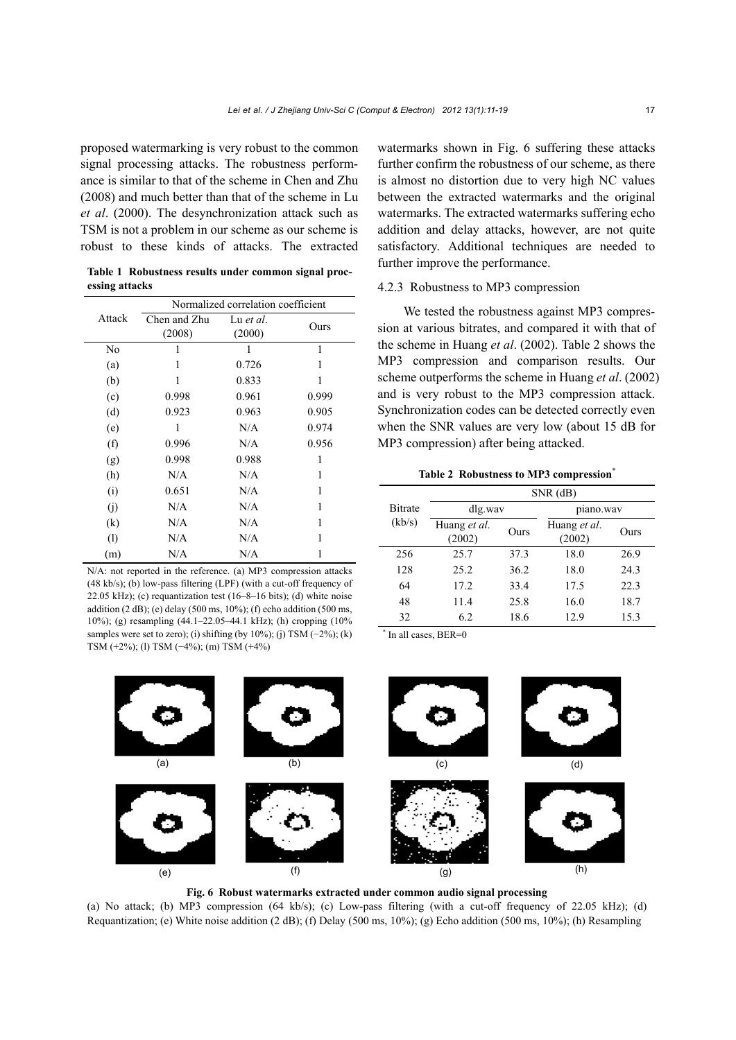proposed watermarking is very robust to the common signal processing attacks. The robustness performance is similar to that of the scheme in Chen and Zhu (2008) and much better than that of the scheme in Lu *et al*. (2000). The desynchronization attack such as TSM is not a problem in our scheme as our scheme is robust to these kinds of attacks. The extracted

**Table 1 Robustness results under common signal processing attacks** 

|        | Normalized correlation coefficient |           |       |  |
|--------|------------------------------------|-----------|-------|--|
| Attack | Chen and Zhu                       | Lu et al. | Ours  |  |
|        | (2008)                             | (2000)    |       |  |
| No     | 1                                  | 1         | 1     |  |
| (a)    | 1                                  | 0.726     | 1     |  |
| (b)    | 1                                  | 0.833     | 1     |  |
| (c)    | 0.998                              | 0.961     | 0.999 |  |
| (d)    | 0.923                              | 0.963     | 0.905 |  |
| (e)    | 1                                  | N/A       | 0.974 |  |
| (f)    | 0.996                              | N/A       | 0.956 |  |
| (g)    | 0.998                              | 0.988     | 1     |  |
| (h)    | N/A                                | N/A       | 1     |  |
| (i)    | 0.651                              | N/A       | 1     |  |
| (i)    | N/A                                | N/A       | 1     |  |
| (k)    | N/A                                | N/A       | 1     |  |
| (1)    | N/A                                | N/A       | 1     |  |
| (m)    | N/A                                | N/A       |       |  |

N/A: not reported in the reference. (a) MP3 compression attacks (48 kb/s); (b) low-pass filtering (LPF) (with a cut-off frequency of 22.05 kHz); (c) requantization test (16–8–16 bits); (d) white noise addition  $(2 dB)$ ; (e) delay (500 ms, 10%); (f) echo addition (500 ms, 10%); (g) resampling (44.1–22.05–44.1 kHz); (h) cropping (10% samples were set to zero); (i) shifting (by 10%); (j) TSM  $(-2\%)$ ; (k) TSM (+2%); (l) TSM (−4%); (m) TSM (+4%)

watermarks shown in Fig. 6 suffering these attacks further confirm the robustness of our scheme, as there is almost no distortion due to very high NC values between the extracted watermarks and the original watermarks. The extracted watermarks suffering echo addition and delay attacks, however, are not quite satisfactory. Additional techniques are needed to further improve the performance.

#### 4.2.3 Robustness to MP3 compression

We tested the robustness against MP3 compression at various bitrates, and compared it with that of the scheme in Huang *et al*. (2002). Table 2 shows the MP3 compression and comparison results. Our scheme outperforms the scheme in Huang *et al*. (2002) and is very robust to the MP3 compression attack. Synchronization codes can be detected correctly even when the SNR values are very low (about 15 dB for MP3 compression) after being attacked.

#### **Table 2 Robustness to MP3 compression**\*

|                | $SNR$ (dB)             |      |                        |      |  |  |
|----------------|------------------------|------|------------------------|------|--|--|
| <b>Bitrate</b> | dlg.wav                |      | piano.wav              |      |  |  |
| (kb/s)         | Huang et al.<br>(2002) | Ours | Huang et al.<br>(2002) | Ours |  |  |
| 256            | 25.7                   | 37.3 | 18.0                   | 26.9 |  |  |
| 128            | 25.2                   | 36.2 | 18.0                   | 24.3 |  |  |
| 64             | 17.2                   | 33.4 | 17.5                   | 22.3 |  |  |
| 48             | 11.4                   | 25.8 | 16.0                   | 18.7 |  |  |
| 32             | 62                     | 18.6 | 12.9                   | 15.3 |  |  |

\* In all cases, BER=0



**Fig. 6 Robust watermarks extracted under common audio signal processing** 

(a) No attack; (b) MP3 compression  $(64 \text{ kb/s})$ ; (c) Low-pass filtering (with a cut-off frequency of 22.05 kHz); (d) Requantization; (e) White noise addition  $(2 \text{ dB})$ ; (f) Delay (500 ms, 10%); (g) Echo addition (500 ms, 10%); (h) Resampling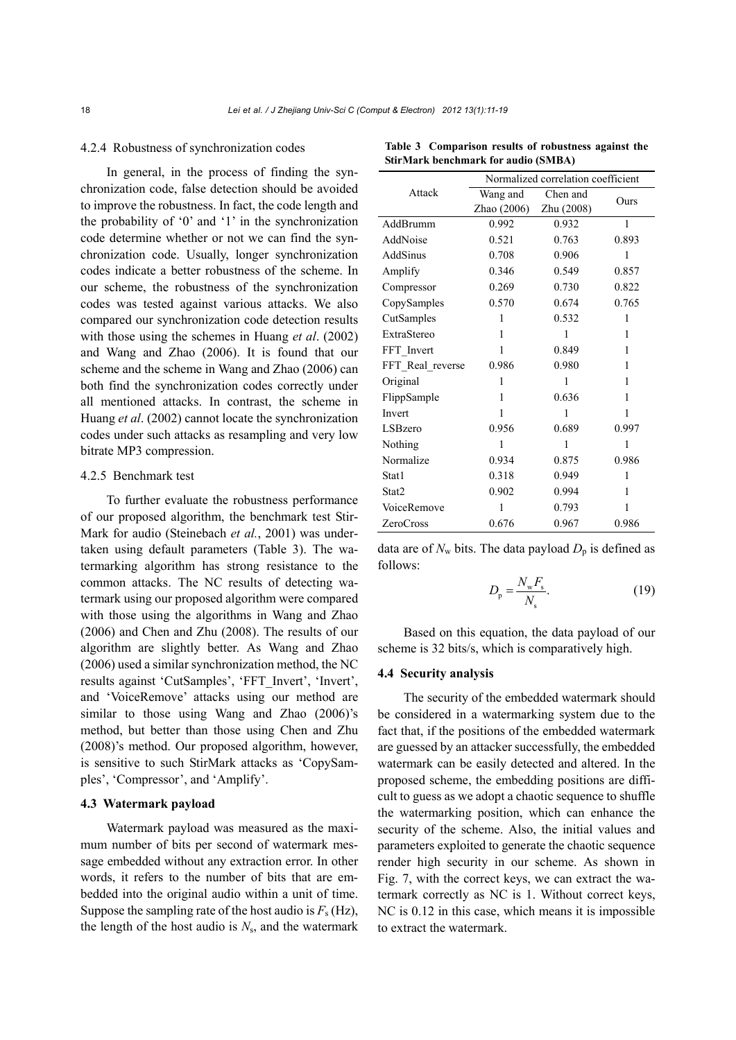#### 4.2.4 Robustness of synchronization codes

In general, in the process of finding the synchronization code, false detection should be avoided to improve the robustness. In fact, the code length and the probability of '0' and '1' in the synchronization code determine whether or not we can find the synchronization code. Usually, longer synchronization codes indicate a better robustness of the scheme. In our scheme, the robustness of the synchronization codes was tested against various attacks. We also compared our synchronization code detection results with those using the schemes in Huang *et al*. (2002) and Wang and Zhao (2006). It is found that our scheme and the scheme in Wang and Zhao (2006) can both find the synchronization codes correctly under all mentioned attacks. In contrast, the scheme in Huang *et al*. (2002) cannot locate the synchronization codes under such attacks as resampling and very low bitrate MP3 compression.

# 4.2.5 Benchmark test

To further evaluate the robustness performance of our proposed algorithm, the benchmark test Stir-Mark for audio (Steinebach *et al.*, 2001) was undertaken using default parameters (Table 3). The watermarking algorithm has strong resistance to the common attacks. The NC results of detecting watermark using our proposed algorithm were compared with those using the algorithms in Wang and Zhao (2006) and Chen and Zhu (2008). The results of our algorithm are slightly better. As Wang and Zhao (2006) used a similar synchronization method, the NC results against 'CutSamples', 'FFT\_Invert', 'Invert', and 'VoiceRemove' attacks using our method are similar to those using Wang and Zhao (2006)'s method, but better than those using Chen and Zhu (2008)'s method. Our proposed algorithm, however, is sensitive to such StirMark attacks as 'CopySamples', 'Compressor', and 'Amplify'.

# **4.3 Watermark payload**

Watermark payload was measured as the maximum number of bits per second of watermark message embedded without any extraction error. In other words, it refers to the number of bits that are embedded into the original audio within a unit of time. Suppose the sampling rate of the host audio is  $F_s$  (Hz), the length of the host audio is  $N_s$ , and the watermark

|                  | Normalized correlation coefficient |            |       |  |  |
|------------------|------------------------------------|------------|-------|--|--|
| Attack           | Wang and                           | Chen and   | Ours  |  |  |
|                  | Zhao $(2006)$                      | Zhu (2008) |       |  |  |
| AddBrumm         | 0.992                              | 0.932      | 1     |  |  |
| AddNoise         | 0.521                              | 0.763      | 0.893 |  |  |
| AddSinus         | 0.708                              | 0.906      | 1     |  |  |
| Amplify          | 0.346                              | 0.549      | 0.857 |  |  |
| Compressor       | 0.269                              | 0.730      | 0.822 |  |  |
| CopySamples      | 0.570                              | 0.674      | 0.765 |  |  |
| CutSamples       | 1                                  | 0.532      | 1     |  |  |
| ExtraStereo      | 1                                  | 1          | 1     |  |  |
| FFT Invert       | 1                                  | 0.849      | 1     |  |  |
| FFT Real reverse | 0.986                              | 0.980      | 1     |  |  |
| Original         | 1                                  | 1          | 1     |  |  |
| FlippSample      | 1                                  | 0.636      | 1     |  |  |
| Invert           | 1                                  | 1          | 1     |  |  |
| LSBzero          | 0.956                              | 0.689      | 0.997 |  |  |
| Nothing          | 1                                  | 1          | 1     |  |  |
| Normalize        | 0.934                              | 0.875      | 0.986 |  |  |
| Stat1            | 0.318                              | 0.949      | 1     |  |  |
| Stat2            | 0.902                              | 0.994      | 1     |  |  |
| VoiceRemove      | 1                                  | 0.793      | 1     |  |  |
| <b>ZeroCross</b> | 0.676                              | 0.967      | 0.986 |  |  |

**Table 3 Comparison results of robustness against the StirMark benchmark for audio (SMBA)** 

data are of  $N_w$  bits. The data payload  $D_p$  is defined as follows:

$$
D_{\rm p} = \frac{N_{\rm w} F_{\rm s}}{N_{\rm s}}.\tag{19}
$$

Based on this equation, the data payload of our scheme is 32 bits/s, which is comparatively high.

# **4.4 Security analysis**

The security of the embedded watermark should be considered in a watermarking system due to the fact that, if the positions of the embedded watermark are guessed by an attacker successfully, the embedded watermark can be easily detected and altered. In the proposed scheme, the embedding positions are difficult to guess as we adopt a chaotic sequence to shuffle the watermarking position, which can enhance the security of the scheme. Also, the initial values and parameters exploited to generate the chaotic sequence render high security in our scheme. As shown in Fig. 7, with the correct keys, we can extract the watermark correctly as NC is 1. Without correct keys, NC is 0.12 in this case, which means it is impossible to extract the watermark.